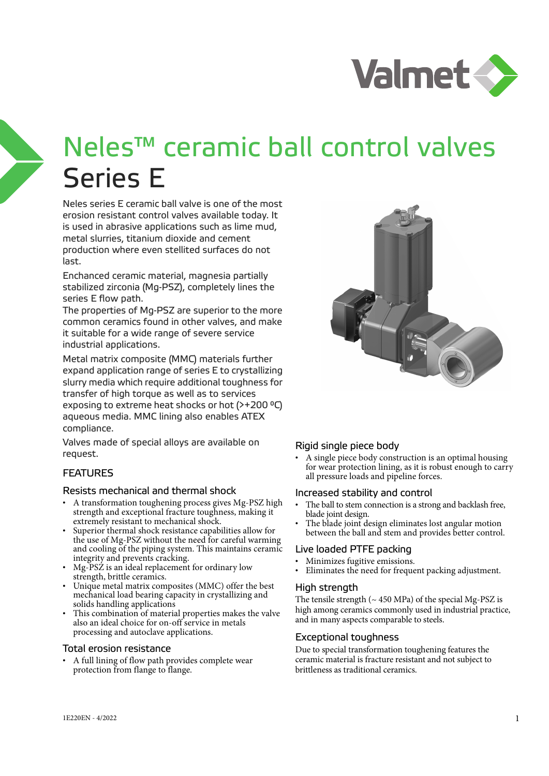

# Neles™ ceramic ball control valves Series E

Neles series E ceramic ball valve is one of the most erosion resistant control valves available today. It is used in abrasive applications such as lime mud, metal slurries, titanium dioxide and cement production where even stellited surfaces do not last.

Enchanced ceramic material, magnesia partially stabilized zirconia (Mg-PSZ), completely lines the series E flow path.

The properties of Mg-PSZ are superior to the more common ceramics found in other valves, and make it suitable for a wide range of severe service industrial applications.

Metal matrix composite (MMC) materials further expand application range of series E to crystallizing slurry media which require additional toughness for transfer of high torque as well as to services exposing to extreme heat shocks or hot (>+200 °C) aqueous media. MMC lining also enables ATEX compliance.

Valves made of special alloys are available on request.

## **FEATURES**

### Resists mechanical and thermal shock

- A transformation toughening process gives Mg-PSZ high strength and exceptional fracture toughness, making it extremely resistant to mechanical shock.
- Superior thermal shock resistance capabilities allow for the use of Mg-PSZ without the need for careful warming and cooling of the piping system. This maintains ceramic integrity and prevents cracking.
- Mg-PSZ is an ideal replacement for ordinary low strength, brittle ceramics.
- Unique metal matrix composites (MMC) offer the best mechanical load bearing capacity in crystallizing and solids handling applications
- This combination of material properties makes the valve also an ideal choice for on-off service in metals processing and autoclave applications.

#### Total erosion resistance

• A full lining of flow path provides complete wear protection from flange to flange.



## Rigid single piece body

• A single piece body construction is an optimal housing for wear protection lining, as it is robust enough to carry all pressure loads and pipeline forces.

#### Increased stability and control

- The ball to stem connection is a strong and backlash free, blade joint design.
- The blade joint design eliminates lost angular motion between the ball and stem and provides better control.

## Live loaded PTFE packing

- Minimizes fugitive emissions.
- Eliminates the need for frequent packing adjustment.

#### High strength

The tensile strength  $({\sim} 450 \text{ MPa})$  of the special Mg-PSZ is high among ceramics commonly used in industrial practice, and in many aspects comparable to steels.

## Exceptional toughness

Due to special transformation toughening features the ceramic material is fracture resistant and not subject to brittleness as traditional ceramics.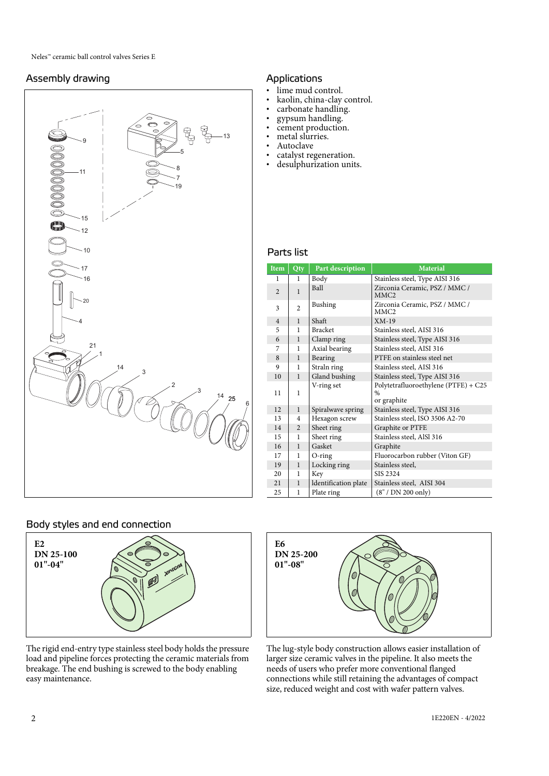# Assembly drawing



# Applications

- lime mud control.
- kaolin, china-clay control.
- carbonate handling.
- gypsum handling.
- cement production.
- metal slurries. **Autoclave**
- 
- catalyst regeneration.<br>• desulphurization unit desulphurization units.

#### Parts list

| Item           | Qty            | Part description     | <b>Material</b>                                                      |  |  |  |  |
|----------------|----------------|----------------------|----------------------------------------------------------------------|--|--|--|--|
| 1              | 1              | Body                 | Stainless steel, Type AISI 316                                       |  |  |  |  |
| $\mathfrak{D}$ | $\mathbf{1}$   | Ball                 | Zirconia Ceramic, PSZ / MMC /<br>MMC <sub>2</sub>                    |  |  |  |  |
| 3              | $\overline{c}$ | Bushing              | Zirconia Ceramic, PSZ / MMC /<br>MMC2                                |  |  |  |  |
| $\overline{4}$ | 1              | Shaft                | $XM-19$                                                              |  |  |  |  |
| 5              | 1              | <b>Bracket</b>       | Stainless steel, AISI 316                                            |  |  |  |  |
| 6              | $\mathbf{1}$   | Clamp ring           | Stainless steel, Type AISI 316                                       |  |  |  |  |
| 7              | 1              | Axial bearing        | Stainless steel, AISI 316                                            |  |  |  |  |
| 8              | $\mathbf{1}$   | Bearing              | PTFE on stainless steel net                                          |  |  |  |  |
| 9              | 1              | Straln ring          | Stainless steel, AISI 316                                            |  |  |  |  |
| 10             | 1              | Gland bushing        | Stainless steel, Type AISI 316                                       |  |  |  |  |
| 11             | 1              | V-ring set           | Polytetrafluoroethylene (PTFE) + C25<br>$\frac{0}{0}$<br>or graphite |  |  |  |  |
| 12             | $\mathbf{1}$   | Spiralwave spring    | Stainless steel, Type AISI 316                                       |  |  |  |  |
| 13             | 4              | Hexagon screw        | Stainless steel, ISO 3506 A2-70                                      |  |  |  |  |
| 14             | 2              | Sheet ring           | Graphite or PTFE                                                     |  |  |  |  |
| 15             | 1              | Sheet ring           | Stainless steel, AlSl 316                                            |  |  |  |  |
| 16             | $\mathbf{1}$   | Gasket               | Graphite                                                             |  |  |  |  |
| 17             | 1              | $O$ -ring            | Fluorocarbon rubber (Viton GF)                                       |  |  |  |  |
| 19             | 1              | Locking ring         | Stainless steel,                                                     |  |  |  |  |
| 20             | 1              | Key                  | SIS 2324                                                             |  |  |  |  |
| 21             | $\mathbf{1}$   | Identification plate | Stainless steel, AISI 304                                            |  |  |  |  |
| 25             | 1              | Plate ring           | (8'' / DN 200 only)                                                  |  |  |  |  |

## Body styles and end connection



The rigid end-entry type stainless steel body holds the pressure load and pipeline forces protecting the ceramic materials from breakage. The end bushing is screwed to the body enabling easy maintenance.



The lug-style body construction allows easier installation of larger size ceramic valves in the pipeline. It also meets the needs of users who prefer more conventional flanged connections while still retaining the advantages of compact size, reduced weight and cost with wafer pattern valves.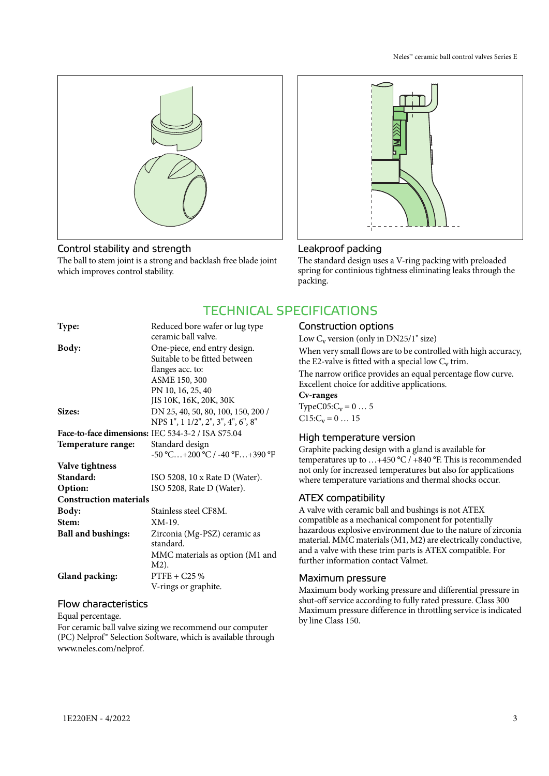

# Control stability and strength

The ball to stem joint is a strong and backlash free blade joint which improves control stability.



# Leakproof packing

The standard design uses a V-ring packing with preloaded spring for continious tightness eliminating leaks through the packing.

# TECHNICAL SPECIFICATIONS

| Reduced bore wafer or lug type                    |
|---------------------------------------------------|
| ceramic ball valve.                               |
| One-piece, end entry design.                      |
| Suitable to be fitted between                     |
| flanges acc. to:                                  |
| ASME 150, 300                                     |
| PN 10, 16, 25, 40                                 |
| JIS 10K, 16K, 20K, 30K                            |
| DN 25, 40, 50, 80, 100, 150, 200 /                |
| NPS 1", 1 1/2", 2", 3", 4", 6", 8"                |
| Face-to-face dimensions: IEC 534-3-2 / ISA S75.04 |
| Standard design                                   |
| -50 °C+200 °C / -40 °F+390 °F                     |
|                                                   |
| ISO 5208, 10 x Rate D (Water).                    |
| ISO 5208, Rate D (Water).                         |
| <b>Construction materials</b>                     |
| Stainless steel CF8M.                             |
| XM-19.                                            |
| Zirconia (Mg-PSZ) ceramic as                      |
| standard.                                         |
| MMC materials as option (M1 and                   |
| M2).                                              |
| $PTFE + C25%$                                     |
| V-rings or graphite.                              |
|                                                   |

### Flow characteristics

Equal percentage. For ceramic ball valve sizing we recommend our computer

(PC) Nelprof™ Selection Software, which is available through www.neles.com/nelprof.

# Construction options

Low  $C_v$  version (only in DN25/1" size) When very small flows are to be controlled with high accuracy, the E2-valve is fitted with a special low  $C_v$  trim. The narrow orifice provides an equal percentage flow curve. Excellent choice for additive applications. **Cv-ranges**  TypeC05: $C_v = 0 ... 5$  $C15:C_v = 0 \ldots 15$ 

## High temperature version

Graphite packing design with a gland is available for temperatures up to …+450 °C / +840 °F. This is recommended not only for increased temperatures but also for applications where temperature variations and thermal shocks occur.

# ATEX compatibility

A valve with ceramic ball and bushings is not ATEX compatible as a mechanical component for potentially hazardous explosive environment due to the nature of zirconia material. MMC materials (M1, M2) are electrically conductive, and a valve with these trim parts is ATEX compatible. For further information contact Valmet.

## Maximum pressure

Maximum body working pressure and differential pressure in shut-off service according to fully rated pressure. Class 300 Maximum pressure difference in throttling service is indicated by line Class 150.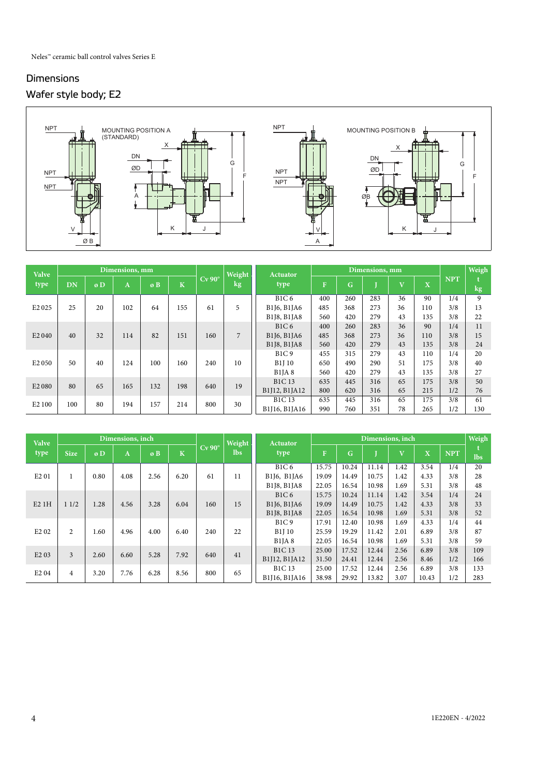# Dimensions Wafer style body; E2



| <b>Valve</b>                   |           |                         | Dimensions, mm |     |                         |                    |        | Weight<br><b>Actuator</b> |              |     | Dimensions, mm |                         |                         |            | Weigh  |
|--------------------------------|-----------|-------------------------|----------------|-----|-------------------------|--------------------|--------|---------------------------|--------------|-----|----------------|-------------------------|-------------------------|------------|--------|
| type                           | <b>DN</b> | $\boldsymbol{\sigma}$ D | A              | øB  | $\overline{\mathbf{K}}$ | $Cv$ 90 $^{\circ}$ | $\log$ | type                      | $\mathbf{F}$ | Ġ   |                | $\overline{\mathbf{V}}$ | $\overline{\mathbf{X}}$ | <b>NPT</b> | $\log$ |
|                                |           |                         |                |     |                         |                    |        | <b>B1C6</b>               | 400          | 260 | 283            | 36                      | 90                      | 1/4        | 9      |
| E <sub>2</sub> 0 <sub>25</sub> | 25        | 20                      | 102            | 64  | 155                     | 61                 | 5      | B1J6, B1JA6               | 485          | 368 | 273            | 36                      | 110                     | 3/8        | 13     |
|                                |           |                         |                |     |                         |                    |        | B1J8, B1JA8               | 560          | 420 | 279            | 43                      | 135                     | 3/8        | 22     |
|                                |           |                         |                |     |                         |                    |        | B1C6                      | 400          | 260 | 283            | 36                      | 90                      | 1/4        | 11     |
| E <sub>2</sub> 040             | 40        | 32                      | 114            | 82  | 151                     | 160                | 7      | B1J6, B1JA6               | 485          | 368 | 273            | 36                      | 110                     | 3/8        | 15     |
|                                |           |                         |                |     |                         |                    |        | B1J8, B1JA8               | 560          | 420 | 279            | 43                      | 135                     | 3/8        | 24     |
|                                |           |                         |                |     |                         |                    |        | <b>B1C9</b>               | 455          | 315 | 279            | 43                      | 110                     | 1/4        | 20     |
| E <sub>2</sub> 050             | 50        | 40                      | 124            | 100 | 160                     | 240                | 10     | <b>B1J10</b>              | 650          | 490 | 290            | 51                      | 175                     | 3/8        | 40     |
|                                |           |                         |                |     |                         |                    |        | B1IA8                     | 560          | 420 | 279            | 43                      | 135                     | 3/8        | 27     |
| E <sub>2</sub> 080             | 80        | 65                      | 165            | 132 | 198                     | 640                | 19     | <b>B1C13</b>              | 635          | 445 | 316            | 65                      | 175                     | 3/8        | 50     |
|                                |           |                         |                |     |                         |                    |        | B1J12, B1JA12             | 800          | 620 | 316            | 65                      | 215                     | 1/2        | 76     |
| E <sub>2</sub> 100             | 100       | 80                      | 194            | 157 | 214                     | 800                | 30     | <b>B1C13</b>              | 635          | 445 | 316            | 65                      | 175                     | 3/8        | 61     |
|                                |           |                         |                |     |                         |                    |        | B1J16, B1JA16             | 990          | 760 | 351            | 78                      | 265                     | 1/2        | 130    |

| <b>Valve</b>                  |                |      | Dimensions, inch |      |      |                    |            | Weight<br><b>Actuator</b> |       | Dimensions, inch |       |                         |                         |            |            |  |
|-------------------------------|----------------|------|------------------|------|------|--------------------|------------|---------------------------|-------|------------------|-------|-------------------------|-------------------------|------------|------------|--|
| type                          | <b>Size</b>    | øD   | A                | øB   | ιK   | $Cv$ 90 $^{\circ}$ | <b>lbs</b> | type                      | F     | G                |       | $\overline{\mathbf{V}}$ | $\overline{\mathbf{X}}$ | <b>NPT</b> | <b>lbs</b> |  |
|                               |                |      |                  |      |      |                    |            | <b>B1C6</b>               | 15.75 | 10.24            | 11.14 | 1.42                    | 3.54                    | 1/4        | 20         |  |
| E <sub>2</sub> 01             | 1              | 0.80 | 4.08             | 2.56 | 6.20 | 61                 | 11         | B1J6, B1JA6               | 19.09 | 14.49            | 10.75 | 1.42                    | 4.33                    | 3/8        | 28         |  |
|                               |                |      |                  |      |      |                    |            | B1J8, B1JA8               | 22.05 | 16.54            | 10.98 | 1.69                    | 5.31                    | 3/8        | 48         |  |
|                               |                |      |                  |      |      |                    |            | B1C6                      | 15.75 | 10.24            | 11.14 | 1.42                    | 3.54                    | 1/4        | 24         |  |
| E21H                          | 11/2           | 1.28 | 4.56             | 3.28 | 6.04 | 160                | 15         | B1J6, B1JA6               | 19.09 | 14.49            | 10.75 | 1.42                    | 4.33                    | 3/8        | 33         |  |
|                               |                |      |                  |      |      |                    |            | B1J8, B1JA8               | 22.05 | 16.54            | 10.98 | 1.69                    | 5.31                    | 3/8        | 52         |  |
|                               |                |      |                  |      |      |                    |            | B1C9                      | 17.91 | 12.40            | 10.98 | 1.69                    | 4.33                    | 1/4        | 44         |  |
| E <sub>2</sub> 0 <sub>2</sub> | $\overline{2}$ | 1.60 | 4.96             | 4.00 | 6.40 | 240                | 22         | B1J 10                    | 25.59 | 19.29            | 11.42 | 2.01                    | 6.89                    | 3/8        | 87         |  |
|                               |                |      |                  |      |      |                    |            | $B1$ JA $8$               | 22.05 | 16.54            | 10.98 | 1.69                    | 5.31                    | 3/8        | 59         |  |
| E <sub>2</sub> 03             | 3              | 2.60 | 6.60             | 5.28 | 7.92 | 640                | 41         | <b>B1C13</b>              | 25.00 | 17.52            | 12.44 | 2.56                    | 6.89                    | 3/8        | 109        |  |
|                               |                |      |                  |      |      |                    |            | B1J12, B1JA12             | 31.50 | 24.41            | 12.44 | 2.56                    | 8.46                    | 1/2        | 166        |  |
| E <sub>2</sub> 04             | $\overline{4}$ | 3.20 | 7.76             | 6.28 | 8.56 | 800                | 65         | <b>B1C13</b>              | 25.00 | 17.52            | 12.44 | 2.56                    | 6.89                    | 3/8        | 133        |  |
|                               |                |      |                  |      |      |                    |            | B1I16, B1IA16             | 38.98 | 29.92            | 13.82 | 3.07                    | 10.43                   | 1/2        | 283        |  |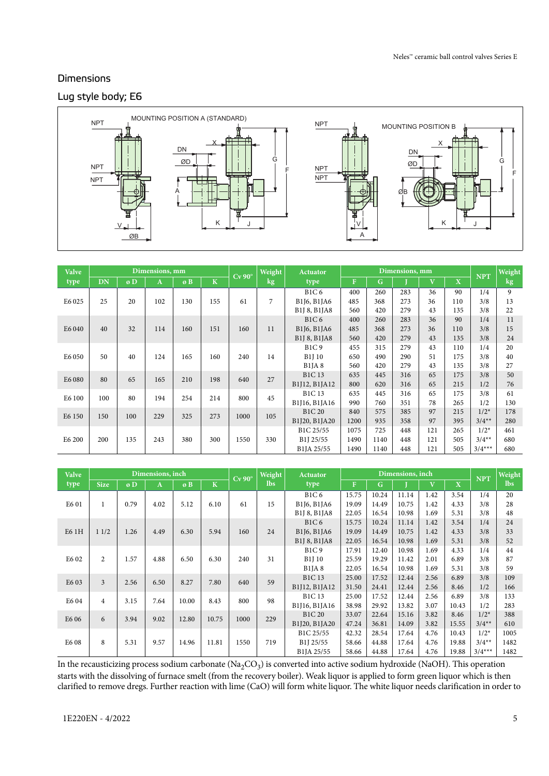# Lug style body; E6 **Dimensions**



| <b>Valve</b> |           |     | Dimensions, mm |     |             | $Cv$ 90 $^{\circ}$ | Weight | <b>Actuator</b>                    | Dimensions, mm |              |     |                         | <b>NPT</b>              | Weight   |        |
|--------------|-----------|-----|----------------|-----|-------------|--------------------|--------|------------------------------------|----------------|--------------|-----|-------------------------|-------------------------|----------|--------|
| type         | <b>DN</b> | øD  | A              | øB  | $\mathbf K$ |                    | $\log$ | type                               | $\mathbf{F}$   | $\mathbf{G}$ |     | $\overline{\mathbf{V}}$ | $\overline{\mathbf{X}}$ |          | $\log$ |
|              |           |     |                |     |             |                    |        | B1C6                               | 400            | 260          | 283 | 36                      | 90                      | 1/4      | 9      |
| E6 025       | 25        | 20  | 102            | 130 | 155         | 61                 | 7      | B1J6, B1JA6                        | 485            | 368          | 273 | 36                      | 110                     | 3/8      | 13     |
|              |           |     |                |     |             |                    |        | B1J 8, B1JA8                       | 560            | 420          | 279 | 43                      | 135                     | 3/8      | 22     |
|              |           |     |                |     |             |                    |        | B1C6                               | 400            | 260          | 283 | 36                      | 90                      | 1/4      | 11     |
| E6 040       | 40        | 32  | 114            | 160 | 151         | 160                | 11     | B1J6, B1JA6                        | 485            | 368          | 273 | 36                      | 110                     | 3/8      | 15     |
|              |           |     |                |     |             |                    |        | B1J 8, B1JA8                       | 560            | 420          | 279 | 43                      | 135                     | 3/8      | 24     |
|              |           |     |                |     |             |                    |        | <b>B1C9</b>                        | 455            | 315          | 279 | 43                      | 110                     | 1/4      | 20     |
| E6 050       | 50        | 40  | 124            | 165 | 160         | 240                | 14     | <b>B1J 10</b>                      | 650            | 490          | 290 | 51                      | 175                     | 3/8      | 40     |
|              |           |     |                |     |             |                    |        | $B1$ JA $8$                        | 560            | 420          | 279 | 43                      | 135                     | 3/8      | 27     |
| E6 080       | 80        | 65  | 165            | 210 | 198         | 640                | 27     | <b>B1C13</b>                       | 635            | 445          | 316 | 65                      | 175                     | 3/8      | 50     |
|              |           |     |                |     |             |                    |        | B1J12, B1JA12                      | 800            | 620          | 316 | 65                      | 215                     | 1/2      | 76     |
| E6 100       | 100       | 80  | 194            | 254 | 214         | 800                | 45     | <b>B1C13</b>                       | 635            | 445          | 316 | 65                      | 175                     | 3/8      | 61     |
|              |           |     |                |     |             |                    |        | B1J16, B1JA16                      | 990            | 760          | 351 | 78                      | 265                     | 1/2      | 130    |
| E6 150       | 150       | 100 | 229            | 325 | 273         | 1000               | 105    | <b>B1C 20</b>                      | 840            | 575          | 385 | 97                      | 215                     | $1/2^*$  | 178    |
|              |           |     |                |     |             |                    |        | B1J20, B1JA20                      | 1200           | 935          | 358 | 97                      | 395                     | $3/4**$  | 280    |
|              |           |     |                |     |             |                    |        | B1C 25/55                          | 1075           | 725          | 448 | 121                     | 265                     | $1/2*$   | 461    |
| E6 200       | 200       | 135 | 243            | 380 | 300         | 1550               | 330    | B <sub>1</sub> J <sub>25</sub> /55 | 1490           | 1140         | 448 | 121                     | 505                     | $3/4**$  | 680    |
|              |           |     |                |     |             |                    |        | B <sub>1</sub> JA 25/55            | 1490           | 1140         | 448 | 121                     | 505                     | $3/4***$ | 680    |

| <b>Valve</b>      |                |      | Dimensions, inch |       |                         | $Cv$ 90 $^{\circ}$ | Weight<br><b>Actuator</b> |                                                                |              |             | Dimensions, inch |                         |                         | <b>NPT</b> | Weight     |
|-------------------|----------------|------|------------------|-------|-------------------------|--------------------|---------------------------|----------------------------------------------------------------|--------------|-------------|------------------|-------------------------|-------------------------|------------|------------|
| type              | <b>Size</b>    | øD   | A                | øB    | $\overline{\mathbf{K}}$ |                    | <b>lbs</b>                | type                                                           | $\mathbf{F}$ | $\mathbf G$ |                  | $\overline{\mathbf{V}}$ | $\overline{\mathbf{X}}$ |            | <b>lbs</b> |
|                   |                |      |                  |       |                         |                    |                           | B1C6                                                           | 15.75        | 10.24       | 11.14            | 1.42                    | 3.54                    | 1/4        | 20         |
| E6 01             |                | 0.79 | 4.02             | 5.12  | 6.10                    | 61                 | 15                        | B1J6, B1JA6                                                    | 19.09        | 14.49       | 10.75            | 1.42                    | 4.33                    | 3/8        | 28         |
|                   |                |      |                  |       |                         |                    |                           | B1J 8, B1JA8                                                   | 22.05        | 16.54       | 10.98            | 1.69                    | 5.31                    | 3/8        | 48         |
|                   |                |      |                  |       |                         |                    |                           | <b>B1C6</b>                                                    | 15.75        | 10.24       | 11.14            | 1.42                    | 3.54                    | 1/4        | 24         |
| E6 1H             | 11/2           | 1.26 | 4.49             | 6.30  | 5.94                    | 160                | 24                        | B <sub>1</sub> J <sub>6</sub> , B <sub>1</sub> J <sub>A6</sub> | 19.09        | 14.49       | 10.75            | 1.42                    | 4.33                    | 3/8        | 33         |
|                   |                |      |                  |       |                         |                    |                           | B1J 8, B1JA8                                                   | 22.05        | 16.54       | 10.98            | 1.69                    | 5.31                    | 3/8        | 52         |
|                   |                |      |                  |       |                         |                    |                           | <b>B1C9</b>                                                    | 17.91        | 12.40       | 10.98            | 1.69                    | 4.33                    | 1/4        | 44         |
| E6 02             | $\overline{c}$ | 1.57 | 4.88             | 6.50  | 6.30                    | 240                | 31                        | <b>B1J10</b>                                                   | 25.59        | 19.29       | 11.42            | 2.01                    | 6.89                    | 3/8        | 87         |
|                   |                |      |                  |       |                         |                    |                           | $B1$ JA $8$                                                    | 22.05        | 16.54       | 10.98            | 1.69                    | 5.31                    | 3/8        | 59         |
| E <sub>6</sub> 03 | 3              | 2.56 | 6.50             | 8.27  | 7.80                    | 640                | 59                        | <b>B1C13</b>                                                   | 25.00        | 17.52       | 12.44            | 2.56                    | 6.89                    | 3/8        | 109        |
|                   |                |      |                  |       |                         |                    |                           | B1J12, B1JA12                                                  | 31.50        | 24.41       | 12.44            | 2.56                    | 8.46                    | 1/2        | 166        |
| E6 04             | $\overline{4}$ | 3.15 | 7.64             | 10.00 | 8.43                    | 800                | 98                        | <b>B1C13</b>                                                   | 25.00        | 17.52       | 12.44            | 2.56                    | 6.89                    | 3/8        | 133        |
|                   |                |      |                  |       |                         |                    |                           | B1J16, B1JA16                                                  | 38.98        | 29.92       | 13.82            | 3.07                    | 10.43                   | 1/2        | 283        |
| E6 06             | 6              | 3.94 | 9.02             | 12.80 | 10.75                   | 1000               | 229                       | <b>B1C 20</b>                                                  | 33.07        | 22.64       | 15.16            | 3.82                    | 8.46                    | $1/2*$     | 388        |
|                   |                |      |                  |       |                         |                    |                           | B1J20, B1JA20                                                  | 47.24        | 36.81       | 14.09            | 3.82                    | 15.55                   | $3/4**$    | 610        |
|                   |                |      |                  |       |                         |                    |                           | B1C 25/55                                                      | 42.32        | 28.54       | 17.64            | 4.76                    | 10.43                   | $1/2^*$    | 1005       |
| E6 08             | 8              | 5.31 | 9.57             | 14.96 | 11.81                   | 1550               | 719                       | B <sub>1</sub> J <sub>25</sub> /55                             | 58.66        | 44.88       | 17.64            | 4.76                    | 19.88                   | $3/4**$    | 1482       |
|                   |                |      |                  |       |                         |                    |                           | B <sub>1</sub> JA 25/55                                        | 58.66        | 44.88       | 17.64            | 4.76                    | 19.88                   | $3/4***$   | 1482       |

In the recausticizing process sodium carbonate ( $Na_2CO_3$ ) is converted into active sodium hydroxide (NaOH). This operation starts with the dissolving of furnace smelt (from the recovery boiler). Weak liquor is applied to form green liquor which is then clarified to remove dregs. Further reaction with lime (CaO) will form white liquor. The white liquor needs clarification in order to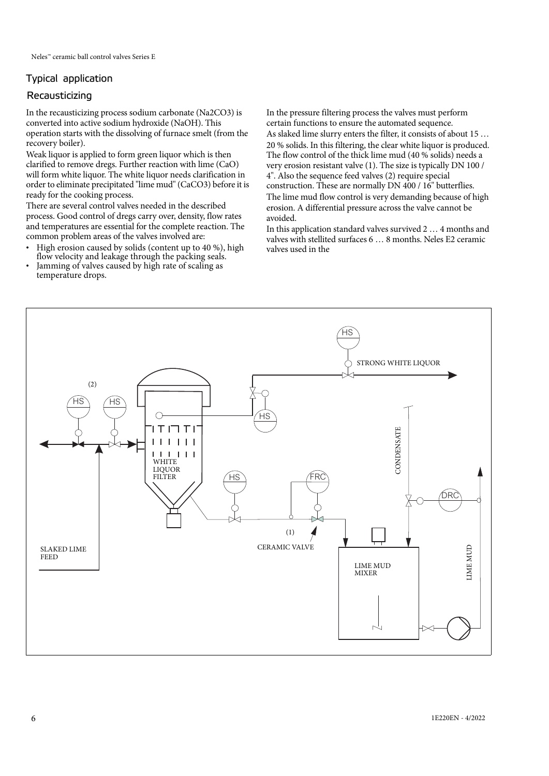# Typical application

# Recausticizing

In the recausticizing process sodium carbonate (Na2CO3) is converted into active sodium hydroxide (NaOH). This operation starts with the dissolving of furnace smelt (from the recovery boiler).

Weak liquor is applied to form green liquor which is then clarified to remove dregs. Further reaction with lime (CaO) will form white liquor. The white liquor needs clarification in order to eliminate precipitated "lime mud" (CaCO3) before it is ready for the cooking process.

There are several control valves needed in the described process. Good control of dregs carry over, density, flow rates and temperatures are essential for the complete reaction. The common problem areas of the valves involved are:

- High erosion caused by solids (content up to 40 %), high flow velocity and leakage through the packing seals.
- Jamming of valves caused by high rate of scaling as temperature drops.

In the pressure filtering process the valves must perform certain functions to ensure the automated sequence. As slaked lime slurry enters the filter, it consists of about 15 … 20 % solids. In this filtering, the clear white liquor is produced. The flow control of the thick lime mud (40 % solids) needs a very erosion resistant valve (1). The size is typically DN 100 / 4". Also the sequence feed valves (2) require special construction. These are normally DN 400 / 16" butterflies. The lime mud flow control is very demanding because of high erosion. A differential pressure across the valve cannot be avoided.

In this application standard valves survived 2 … 4 months and valves with stellited surfaces 6 … 8 months. Neles E2 ceramic valves used in the

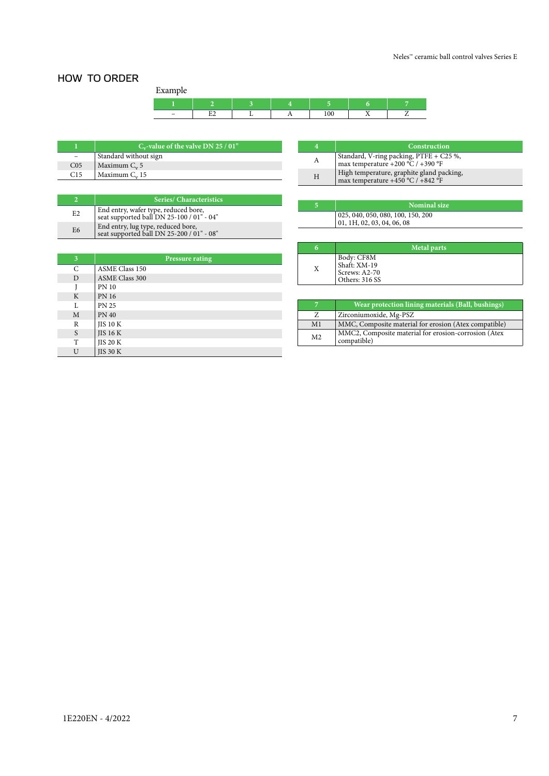# HOW TO ORDER

Example

| exterior                      |    |  |     |                          |  |
|-------------------------------|----|--|-----|--------------------------|--|
|                               |    |  |     |                          |  |
| $\overline{\phantom{a}}$<br>- | -- |  | 100 | $\overline{\phantom{a}}$ |  |

|                 | $C_v$ -value of the valve DN 25 / 01" |
|-----------------|---------------------------------------|
|                 | Standard without sign                 |
| CO <sub>5</sub> | Maximum $C_v$ 5                       |
| C <sub>15</sub> | Maximum $C_v$ 15                      |

|                | <b>Series/ Characteristics</b>                                                    |
|----------------|-----------------------------------------------------------------------------------|
| E2             | End entry, wafer type, reduced bore,<br>seat supported ball DN 25-100 / 01" - 04" |
| E <sub>6</sub> | End entry, lug type, reduced bore,<br>seat supported ball DN 25-200 / 01" - 08"   |

| 3 | <b>Pressure rating</b> |
|---|------------------------|
| C | <b>ASME Class 150</b>  |
| D | <b>ASME Class 300</b>  |
|   | <b>PN 10</b>           |
| K | <b>PN 16</b>           |
| L | <b>PN 25</b>           |
| M | <b>PN 40</b>           |
| R | <b>JIS 10 K</b>        |
| S | $JIS$ 16 K             |
| т | <b>JIS 20 K</b>        |
| U | <b>JIS 30 K</b>        |

|   | Construction                                                                   |
|---|--------------------------------------------------------------------------------|
| А | Standard, V-ring packing, PTFE + C25 %,<br>max temperature +200 °C / +390 °F   |
| H | High temperature, graphite gland packing,<br>max temperature +450 °C / +842 °F |

| Nominal size                                                    |
|-----------------------------------------------------------------|
| 025, 040, 050, 080, 100, 150, 200<br>01, 1H, 02, 03, 04, 06, 08 |

| 6 | <b>Metal parts</b>                                            |
|---|---------------------------------------------------------------|
| Χ | Body: CF8M<br>Shaft: XM-19<br>Screws: A2-70<br>Others: 316 SS |

| 7              | Wear protection lining materials (Ball, bushings)                   |
|----------------|---------------------------------------------------------------------|
| Z              | Zirconiumoxide, Mg-PSZ                                              |
| M1             | MMC, Composite material for erosion (Atex compatible)               |
| M <sub>2</sub> | MMC2, Composite material for erosion-corrosion (Atex<br>compatible) |